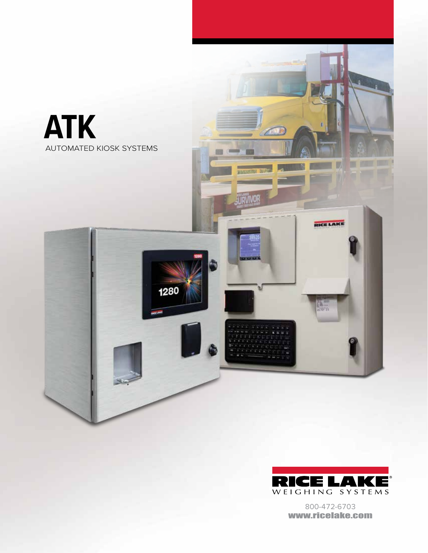



800-472-6703 www.ricelake.com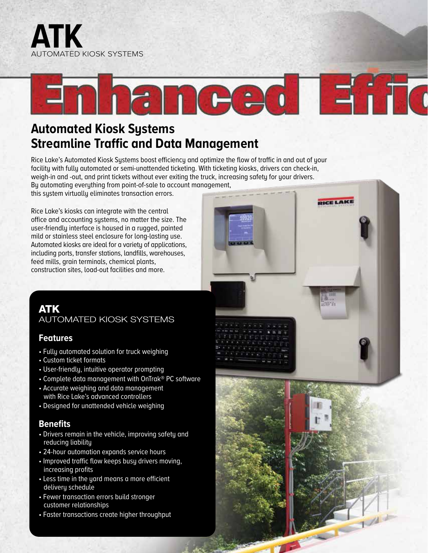



RICE LAKE

# **Automated Kiosk Systems Streamline Traffic and Data Management**

Rice Lake's Automated Kiosk Systems boost efficiency and optimize the flow of traffic in and out of your facility with fully automated or semi-unattended ticketing. With ticketing kiosks, drivers can check-in, weigh-in and -out, and print tickets without ever exiting the truck, increasing safety for your drivers. By automating everything from point-of-sale to account management,

this system virtually eliminates transaction errors.

Rice Lake's kiosks can integrate with the central office and accounting systems, no matter the size. The user-friendly interface is housed in a rugged, painted mild or stainless steel enclosure for long-lasting use. Automated kiosks are ideal for a variety of applications, including ports, transfer stations, landfills, warehouses, feed mills, grain terminals, chemical plants, construction sites, load-out facilities and more.

### ATK AUTOMATED KIOSK SYSTEMS

#### **Features**

- Fully automated solution for truck weighing
- Custom ticket formats
- User-friendly, intuitive operator prompting
- Complete data management with OnTrak® PC software
- Accurate weighing and data management with Rice Lake's advanced controllers
- Designed for unattended vehicle weighing

### **Benefits**

- Drivers remain in the vehicle, improving safety and reducing liability
- 24-hour automation expands service hours
- Improved traffic flow keeps busy drivers moving, increasing profits
- Less time in the yard means a more efficient delivery schedule
- Fewer transaction errors build stronger customer relationships
- Faster transactions create higher throughput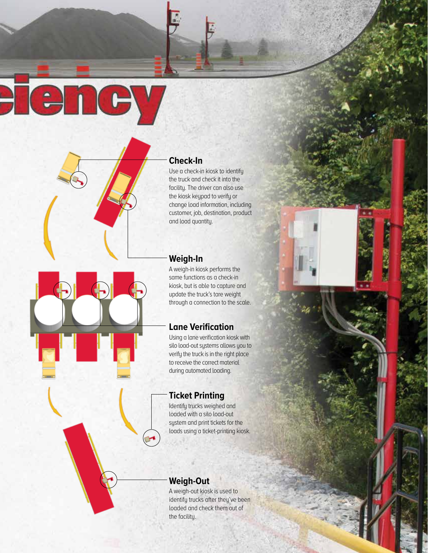**Check-In**

Fency

Use a check-in kiosk to identify the truck and check it into the facility. The driver can also use the kiosk keypad to verify or change load information, including customer, job, destination, product and load quantity.

### **Weigh-In**

A weigh-in kiosk performs the same functions as a check-in kiosk, but is able to capture and update the truck's tare weight through a connection to the scale.

# **Lane Verification**

Using a lane verification kiosk with silo load-out systems allows you to verify the truck is in the right place to receive the correct material during automated loading.

# **Ticket Printing**

Identify trucks weighed and loaded with a silo load-out system and print tickets for the loads using a ticket-printing kiosk.

# **Weigh-Out**

A weigh-out kiosk is used to identify trucks after they've been loaded and check them out of the facility.